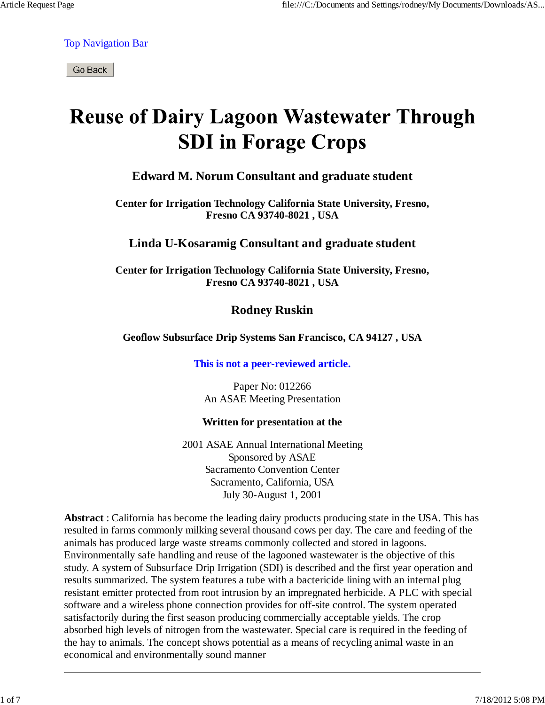Top Navigation Bar

Go Back

# **Reuse of Dairy Lagoon Wastewater Through SDI** in Forage Crops

### **Edward M. Norum Consultant and graduate student**

**Center for Irrigation Technology California State University, Fresno, Fresno CA 93740-8021 , USA**

### **Linda U-Kosaramig Consultant and graduate student**

**Center for Irrigation Technology California State University, Fresno, Fresno CA 93740-8021 , USA**

**Rodney Ruskin**

#### **Geoflow Subsurface Drip Systems San Francisco, CA 94127 , USA**

#### **This is not a peer-reviewed article.**

Paper No: 012266 An ASAE Meeting Presentation

#### **Written for presentation at the**

2001 ASAE Annual International Meeting Sponsored by ASAE Sacramento Convention Center Sacramento, California, USA July 30-August 1, 2001

**Abstract** : California has become the leading dairy products producing state in the USA. This has resulted in farms commonly milking several thousand cows per day. The care and feeding of the animals has produced large waste streams commonly collected and stored in lagoons. Environmentally safe handling and reuse of the lagooned wastewater is the objective of this study. A system of Subsurface Drip Irrigation (SDI) is described and the first year operation and results summarized. The system features a tube with a bactericide lining with an internal plug resistant emitter protected from root intrusion by an impregnated herbicide. A PLC with special software and a wireless phone connection provides for off-site control. The system operated satisfactorily during the first season producing commercially acceptable yields. The crop absorbed high levels of nitrogen from the wastewater. Special care is required in the feeding of the hay to animals. The concept shows potential as a means of recycling animal waste in an economical and environmentally sound manner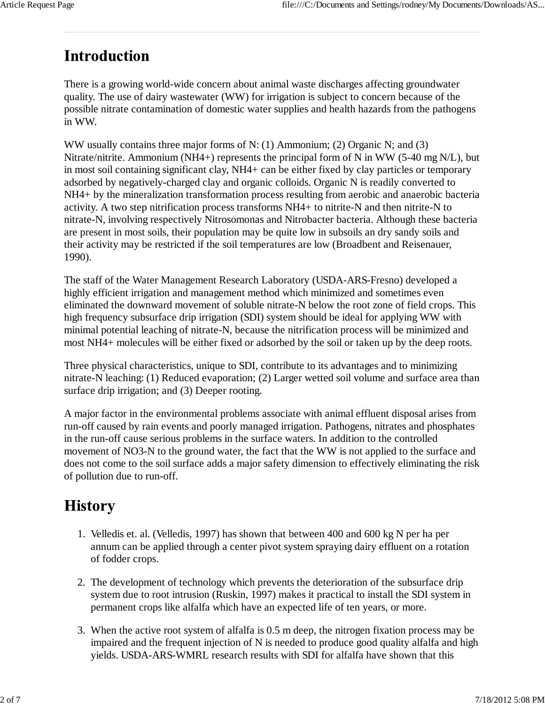# **Introduction**

There is a growing world-wide concern about animal waste discharges affecting groundwater quality. The use of dairy wastewater (WW) for irrigation is subject to concern because of the possible nitrate contamination of domestic water supplies and health hazards from the pathogens in WW.

WW usually contains three major forms of N: (1) Ammonium; (2) Organic N; and (3) Nitrate/nitrite. Ammonium (NH4+) represents the principal form of N in WW (5-40 mg N/L), but in most soil containing significant clay, NH4+ can be either fixed by clay particles or temporary adsorbed by negatively-charged clay and organic colloids. Organic N is readily converted to NH4+ by the mineralization transformation process resulting from aerobic and anaerobic bacteria activity. A two step nitrification process transforms NH4+ to nitrite-N and then nitrite-N to nitrate-N, involving respectively Nitrosomonas and Nitrobacter bacteria. Although these bacteria are present in most soils, their population may be quite low in subsoils an dry sandy soils and their activity may be restricted if the soil temperatures are low (Broadbent and Reisenauer, 1990).

The staff of the Water Management Research Laboratory (USDA-ARS-Fresno) developed a highly efficient irrigation and management method which minimized and sometimes even eliminated the downward movement of soluble nitrate-N below the root zone of field crops. This high frequency subsurface drip irrigation (SDI) system should be ideal for applying WW with minimal potential leaching of nitrate-N, because the nitrification process will be minimized and most NH4+ molecules will be either fixed or adsorbed by the soil or taken up by the deep roots.

Three physical characteristics, unique to SDI, contribute to its advantages and to minimizing nitrate-N leaching: (1) Reduced evaporation; (2) Larger wetted soil volume and surface area than surface drip irrigation; and (3) Deeper rooting.

A major factor in the environmental problems associate with animal effluent disposal arises from run-off caused by rain events and poorly managed irrigation. Pathogens, nitrates and phosphates in the run-off cause serious problems in the surface waters. In addition to the controlled movement of NO3-N to the ground water, the fact that the WW is not applied to the surface and does not come to the soil surface adds a major safety dimension to effectively eliminating the risk of pollution due to run-off.

## **History**

- 1. Velledis et. al. (Velledis, 1997) has shown that between 400 and 600 kg N per ha per annum can be applied through a center pivot system spraying dairy effluent on a rotation of fodder crops.
- 2. The development of technology which prevents the deterioration of the subsurface drip system due to root intrusion (Ruskin, 1997) makes it practical to install the SDI system in permanent crops like alfalfa which have an expected life of ten years, or more.
- When the active root system of alfalfa is 0.5 m deep, the nitrogen fixation process may be 3. impaired and the frequent injection of N is needed to produce good quality alfalfa and high yields. USDA-ARS-WMRL research results with SDI for alfalfa have shown that this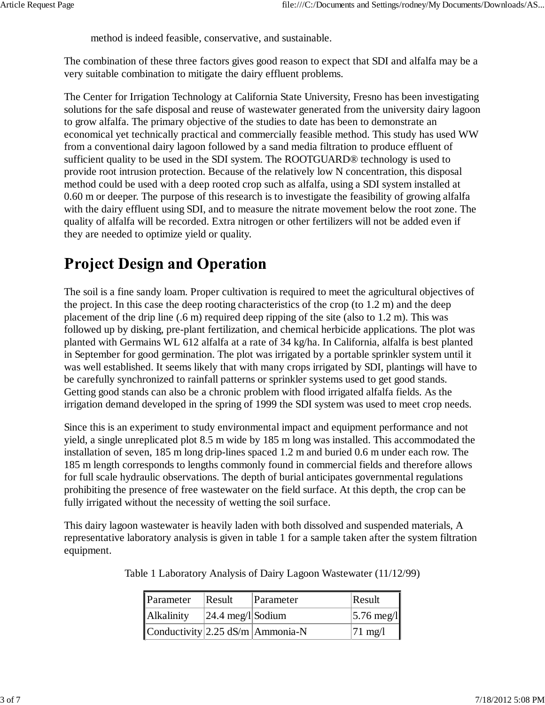method is indeed feasible, conservative, and sustainable.

The combination of these three factors gives good reason to expect that SDI and alfalfa may be a very suitable combination to mitigate the dairy effluent problems.

The Center for Irrigation Technology at California State University, Fresno has been investigating solutions for the safe disposal and reuse of wastewater generated from the university dairy lagoon to grow alfalfa. The primary objective of the studies to date has been to demonstrate an economical yet technically practical and commercially feasible method. This study has used WW from a conventional dairy lagoon followed by a sand media filtration to produce effluent of sufficient quality to be used in the SDI system. The ROOTGUARD® technology is used to provide root intrusion protection. Because of the relatively low N concentration, this disposal method could be used with a deep rooted crop such as alfalfa, using a SDI system installed at 0.60 m or deeper. The purpose of this research is to investigate the feasibility of growing alfalfa with the dairy effluent using SDI, and to measure the nitrate movement below the root zone. The quality of alfalfa will be recorded. Extra nitrogen or other fertilizers will not be added even if they are needed to optimize yield or quality.

## **Project Design and Operation**

The soil is a fine sandy loam. Proper cultivation is required to meet the agricultural objectives of the project. In this case the deep rooting characteristics of the crop (to 1.2 m) and the deep placement of the drip line (.6 m) required deep ripping of the site (also to 1.2 m). This was followed up by disking, pre-plant fertilization, and chemical herbicide applications. The plot was planted with Germains WL 612 alfalfa at a rate of 34 kg/ha. In California, alfalfa is best planted in September for good germination. The plot was irrigated by a portable sprinkler system until it was well established. It seems likely that with many crops irrigated by SDI, plantings will have to be carefully synchronized to rainfall patterns or sprinkler systems used to get good stands. Getting good stands can also be a chronic problem with flood irrigated alfalfa fields. As the irrigation demand developed in the spring of 1999 the SDI system was used to meet crop needs.

Since this is an experiment to study environmental impact and equipment performance and not yield, a single unreplicated plot 8.5 m wide by 185 m long was installed. This accommodated the installation of seven, 185 m long drip-lines spaced 1.2 m and buried 0.6 m under each row. The 185 m length corresponds to lengths commonly found in commercial fields and therefore allows for full scale hydraulic observations. The depth of burial anticipates governmental regulations prohibiting the presence of free wastewater on the field surface. At this depth, the crop can be fully irrigated without the necessity of wetting the soil surface.

This dairy lagoon wastewater is heavily laden with both dissolved and suspended materials, A representative laboratory analysis is given in table 1 for a sample taken after the system filtration equipment.

| Parameter                                | Result                        | Parameter | $\textsf{Result}$      |
|------------------------------------------|-------------------------------|-----------|------------------------|
| Alkalinity                               | $ 24.4 \text{ meg}/l $ Sodium |           | $ 5.76 \text{ meg/}1 $ |
| Conductivity 2.25 dS/m $\vert$ Ammonia-N |                               |           | $ 71 \text{ mg}/1$     |

Table 1 Laboratory Analysis of Dairy Lagoon Wastewater (11/12/99)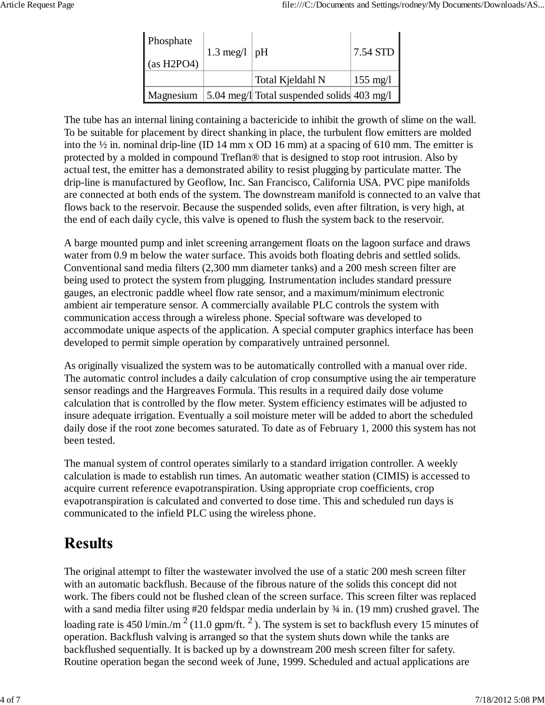| Phosphate<br>(as H2PO4) | 1.3 meg/l   $pH$ |                                                      | $7.54$ STD         |
|-------------------------|------------------|------------------------------------------------------|--------------------|
|                         |                  | Total Kjeldahl N                                     | $155 \text{ mg}/1$ |
|                         |                  | Magnesium 5.04 meg/l Total suspended solids 403 mg/l |                    |

The tube has an internal lining containing a bactericide to inhibit the growth of slime on the wall. To be suitable for placement by direct shanking in place, the turbulent flow emitters are molded into the ½ in. nominal drip-line (ID 14 mm x OD 16 mm) at a spacing of 610 mm. The emitter is protected by a molded in compound Treflan® that is designed to stop root intrusion. Also by actual test, the emitter has a demonstrated ability to resist plugging by particulate matter. The drip-line is manufactured by Geoflow, Inc. San Francisco, California USA. PVC pipe manifolds are connected at both ends of the system. The downstream manifold is connected to an valve that flows back to the reservoir. Because the suspended solids, even after filtration, is very high, at the end of each daily cycle, this valve is opened to flush the system back to the reservoir.

A barge mounted pump and inlet screening arrangement floats on the lagoon surface and draws water from 0.9 m below the water surface. This avoids both floating debris and settled solids. Conventional sand media filters (2,300 mm diameter tanks) and a 200 mesh screen filter are being used to protect the system from plugging. Instrumentation includes standard pressure gauges, an electronic paddle wheel flow rate sensor, and a maximum/minimum electronic ambient air temperature sensor. A commercially available PLC controls the system with communication access through a wireless phone. Special software was developed to accommodate unique aspects of the application. A special computer graphics interface has been developed to permit simple operation by comparatively untrained personnel.

As originally visualized the system was to be automatically controlled with a manual over ride. The automatic control includes a daily calculation of crop consumptive using the air temperature sensor readings and the Hargreaves Formula. This results in a required daily dose volume calculation that is controlled by the flow meter. System efficiency estimates will be adjusted to insure adequate irrigation. Eventually a soil moisture meter will be added to abort the scheduled daily dose if the root zone becomes saturated. To date as of February 1, 2000 this system has not been tested.

The manual system of control operates similarly to a standard irrigation controller. A weekly calculation is made to establish run times. An automatic weather station (CIMIS) is accessed to acquire current reference evapotranspiration. Using appropriate crop coefficients, crop evapotranspiration is calculated and converted to dose time. This and scheduled run days is communicated to the infield PLC using the wireless phone.

# **Results**

The original attempt to filter the wastewater involved the use of a static 200 mesh screen filter with an automatic backflush. Because of the fibrous nature of the solids this concept did not work. The fibers could not be flushed clean of the screen surface. This screen filter was replaced with a sand media filter using #20 feldspar media underlain by ¾ in. (19 mm) crushed gravel. The loading rate is 450 l/min./m<sup>2</sup> (11.0 gpm/ft.<sup>2</sup>). The system is set to backflush every 15 minutes of operation. Backflush valving is arranged so that the system shuts down while the tanks are backflushed sequentially. It is backed up by a downstream 200 mesh screen filter for safety. Routine operation began the second week of June, 1999. Scheduled and actual applications are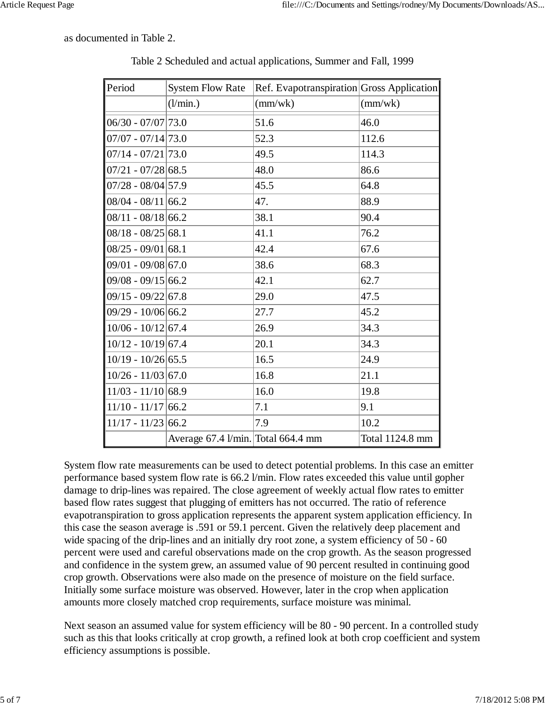as documented in Table 2.

| Period               | <b>System Flow Rate</b>            | Ref. Evapotranspiration Gross Application |                  |
|----------------------|------------------------------------|-------------------------------------------|------------------|
|                      | (l/min.)                           | (mm/wk)                                   | $\text{(mm/wk)}$ |
| $06/30 - 07/07$ 73.0 |                                    | 51.6                                      | 46.0             |
| $07/07 - 07/14$ 73.0 |                                    | 52.3                                      | 112.6            |
| $07/14 - 07/21$ 73.0 |                                    | 49.5                                      | 114.3            |
| $07/21 - 07/28$ 68.5 |                                    | 48.0                                      | 86.6             |
| $07/28 - 08/04$ 57.9 |                                    | 45.5                                      | 64.8             |
| $08/04 - 08/11$ 66.2 |                                    | 47.                                       | 88.9             |
| $08/11 - 08/18$ 66.2 |                                    | 38.1                                      | 90.4             |
| $08/18 - 08/25$ 68.1 |                                    | 41.1                                      | 76.2             |
| $08/25 - 09/01$ 68.1 |                                    | 42.4                                      | 67.6             |
| $09/01 - 09/08$ 67.0 |                                    | 38.6                                      | 68.3             |
| $09/08 - 09/15$ 66.2 |                                    | 42.1                                      | 62.7             |
| $09/15 - 09/22$ 67.8 |                                    | 29.0                                      | 47.5             |
| $09/29 - 10/0666.2$  |                                    | 27.7                                      | 45.2             |
| $10/06 - 10/12$ 67.4 |                                    | 26.9                                      | 34.3             |
| $10/12 - 10/19$ 67.4 |                                    | 20.1                                      | 34.3             |
| $10/19 - 10/26$ 65.5 |                                    | 16.5                                      | 24.9             |
| $10/26 - 11/03$ 67.0 |                                    | 16.8                                      | 21.1             |
| $11/03 - 11/10$ 68.9 |                                    | 16.0                                      | 19.8             |
| $11/10 - 11/17$ 66.2 |                                    | 7.1                                       | 9.1              |
| $11/17 - 11/23$ 66.2 |                                    | 7.9                                       | 10.2             |
|                      | Average 67.4 l/min. Total 664.4 mm |                                           | Total 1124.8 mm  |

Table 2 Scheduled and actual applications, Summer and Fall, 1999

System flow rate measurements can be used to detect potential problems. In this case an emitter performance based system flow rate is 66.2 l/min. Flow rates exceeded this value until gopher damage to drip-lines was repaired. The close agreement of weekly actual flow rates to emitter based flow rates suggest that plugging of emitters has not occurred. The ratio of reference evapotranspiration to gross application represents the apparent system application efficiency. In this case the season average is .591 or 59.1 percent. Given the relatively deep placement and wide spacing of the drip-lines and an initially dry root zone, a system efficiency of 50 - 60 percent were used and careful observations made on the crop growth. As the season progressed and confidence in the system grew, an assumed value of 90 percent resulted in continuing good crop growth. Observations were also made on the presence of moisture on the field surface. Initially some surface moisture was observed. However, later in the crop when application amounts more closely matched crop requirements, surface moisture was minimal.

Next season an assumed value for system efficiency will be 80 - 90 percent. In a controlled study such as this that looks critically at crop growth, a refined look at both crop coefficient and system efficiency assumptions is possible.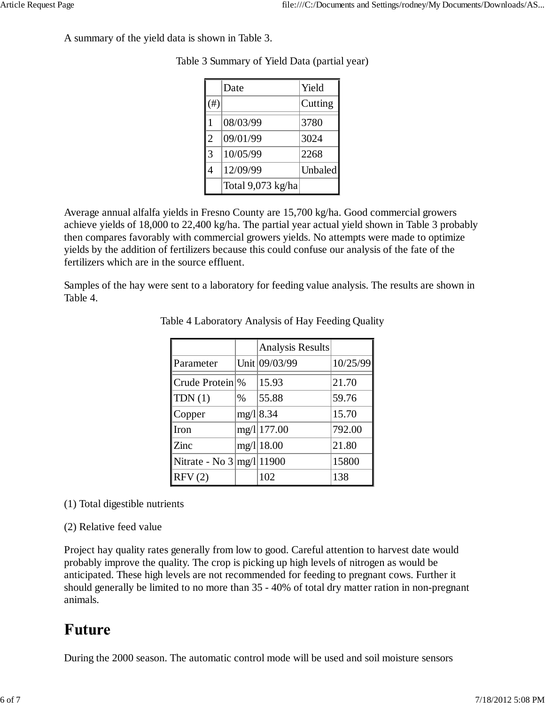A summary of the yield data is shown in Table 3.

|                | Date              | Yield          |
|----------------|-------------------|----------------|
| #)             |                   | Cutting        |
|                | 08/03/99          | 3780           |
| $\overline{2}$ | 09/01/99          | 3024           |
| 3              | 10/05/99          | 2268           |
| 4              | 12/09/99          | <b>Unbaled</b> |
|                | Total 9,073 kg/ha |                |

Table 3 Summary of Yield Data (partial year)

Average annual alfalfa yields in Fresno County are 15,700 kg/ha. Good commercial growers achieve yields of 18,000 to 22,400 kg/ha. The partial year actual yield shown in Table 3 probably then compares favorably with commercial growers yields. No attempts were made to optimize yields by the addition of fertilizers because this could confuse our analysis of the fate of the fertilizers which are in the source effluent.

Samples of the hay were sent to a laboratory for feeding value analysis. The results are shown in Table 4.

|                                    |      | Analysis Results |          |
|------------------------------------|------|------------------|----------|
| Parameter                          |      | Unit 09/03/99    | 10/25/99 |
| Crude Protein \%                   |      | 15.93            | 21.70    |
| TDN(1)                             | $\%$ | 55.88            | 59.76    |
| Copper                             | mg/1 | 8.34             | 15.70    |
| Iron                               |      | mg/l 177.00      | 792.00   |
| Zinc                               |      | mg/l 18.00       | 21.80    |
| Nitrate - No $3 \frac{mg}{111900}$ |      |                  | 15800    |
| RFV(2)                             |      | 102              | 138      |

Table 4 Laboratory Analysis of Hay Feeding Quality

#### (1) Total digestible nutrients

#### (2) Relative feed value

Project hay quality rates generally from low to good. Careful attention to harvest date would probably improve the quality. The crop is picking up high levels of nitrogen as would be anticipated. These high levels are not recommended for feeding to pregnant cows. Further it should generally be limited to no more than 35 - 40% of total dry matter ration in non-pregnant animals.

### **Future**

During the 2000 season. The automatic control mode will be used and soil moisture sensors